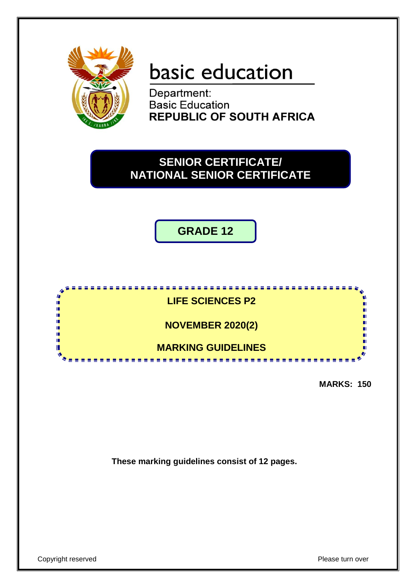

# basic education

Department: **Basic Education REPUBLIC OF SOUTH AFRICA** 

# **SENIOR CERTIFICATE/ NATIONAL SENIOR CERTIFICATE**

**GRADE 12**



**MARKS: 150**

**These marking guidelines consist of 12 pages.**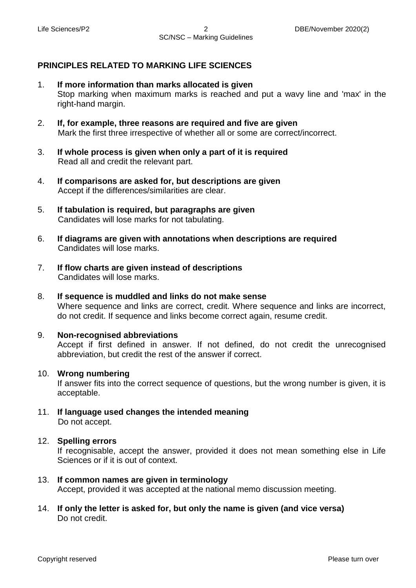## **PRINCIPLES RELATED TO MARKING LIFE SCIENCES**

- 1. **If more information than marks allocated is given** Stop marking when maximum marks is reached and put a wavy line and 'max' in the right-hand margin.
- 2. **If, for example, three reasons are required and five are given** Mark the first three irrespective of whether all or some are correct/incorrect.
- 3. **If whole process is given when only a part of it is required** Read all and credit the relevant part.
- 4. **If comparisons are asked for, but descriptions are given** Accept if the differences/similarities are clear.
- 5. **If tabulation is required, but paragraphs are given** Candidates will lose marks for not tabulating.
- 6. **If diagrams are given with annotations when descriptions are required** Candidates will lose marks.
- 7. **If flow charts are given instead of descriptions** Candidates will lose marks.
- 8. **If sequence is muddled and links do not make sense** Where sequence and links are correct, credit. Where sequence and links are incorrect, do not credit. If sequence and links become correct again, resume credit.
- 9. **Non-recognised abbreviations** Accept if first defined in answer. If not defined, do not credit the unrecognised abbreviation, but credit the rest of the answer if correct.
- 10. **Wrong numbering**

If answer fits into the correct sequence of questions, but the wrong number is given, it is acceptable.

11. **If language used changes the intended meaning** Do not accept.

#### 12. **Spelling errors**

If recognisable, accept the answer, provided it does not mean something else in Life Sciences or if it is out of context.

- 13. **If common names are given in terminology** Accept, provided it was accepted at the national memo discussion meeting.
- 14. **If only the letter is asked for, but only the name is given (and vice versa)** Do not credit.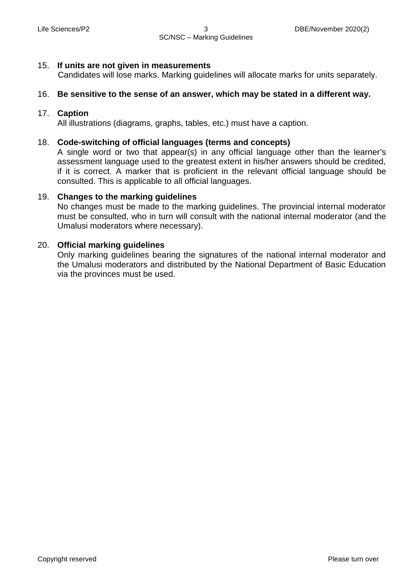#### 15. **If units are not given in measurements**

Candidates will lose marks. Marking guidelines will allocate marks for units separately.

#### 16. **Be sensitive to the sense of an answer, which may be stated in a different way.**

#### 17. **Caption**

All illustrations (diagrams, graphs, tables, etc.) must have a caption.

### 18. **Code-switching of official languages (terms and concepts)**

A single word or two that appear(s) in any official language other than the learner's assessment language used to the greatest extent in his/her answers should be credited, if it is correct. A marker that is proficient in the relevant official language should be consulted. This is applicable to all official languages.

#### 19. **Changes to the marking guidelines**

No changes must be made to the marking guidelines. The provincial internal moderator must be consulted, who in turn will consult with the national internal moderator (and the Umalusi moderators where necessary).

#### 20. **Official marking guidelines**

Only marking guidelines bearing the signatures of the national internal moderator and the Umalusi moderators and distributed by the National Department of Basic Education via the provinces must be used.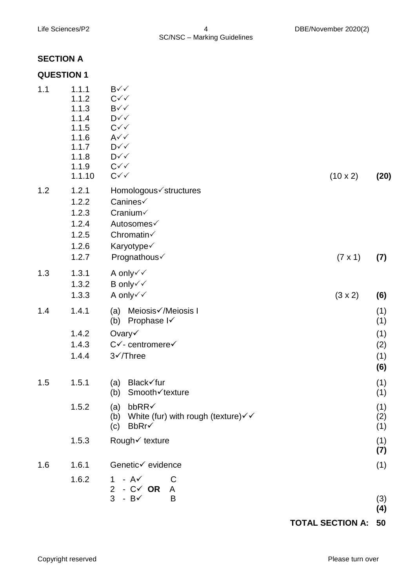## **SECTION A**

## **QUESTION 1**

| 1.1 | 1.1.1<br>1.1.2<br>1.1.3<br>1.1.4<br>1.1.5<br>1.1.6<br>1.1.7<br>1.1.8<br>1.1.9<br>1.1.10 | $B\checkmark\checkmark$<br>$C\checkmark\checkmark$<br>$B\checkmark\checkmark$<br>$\mathsf{D} \checkmark \checkmark$<br>$C\checkmark\checkmark$<br>$A\checkmark$<br>$D \checkmark \checkmark$<br>$\mathsf{D} \checkmark \checkmark$<br>$C\checkmark\checkmark$<br>$C\checkmark\checkmark$ | $(10 \times 2)$ | (20)                                   |
|-----|-----------------------------------------------------------------------------------------|------------------------------------------------------------------------------------------------------------------------------------------------------------------------------------------------------------------------------------------------------------------------------------------|-----------------|----------------------------------------|
| 1.2 | 1.2.1<br>1.2.2<br>1.2.3<br>1.2.4<br>1.2.5<br>1.2.6<br>1.2.7                             | Homologous√structures<br>Canines√<br>Cranium√<br>Autosomes√<br>Chromatin√<br>Karyotype√<br>Prognathous√                                                                                                                                                                                  | $(7 \times 1)$  | (7)                                    |
| 1.3 | 1.3.1<br>1.3.2<br>1.3.3                                                                 | A only√√<br>B only√√<br>A only√√                                                                                                                                                                                                                                                         | $(3 \times 2)$  | (6)                                    |
| 1.4 | 1.4.1<br>1.4.2<br>1.4.3<br>1.4.4                                                        | Meiosis√/Meiosis I<br>(a)<br>Prophase I<br>(b)<br>Ovary√<br>$C\checkmark$ - centromere $\checkmark$<br>$3\checkmark$ Three                                                                                                                                                               |                 | (1)<br>(1)<br>(1)<br>(2)<br>(1)<br>(6) |
| 1.5 | 1.5.1<br>1.5.2<br>1.5.3                                                                 | Black√fur<br>(a)<br>(b) Smooth√texture<br>bbRR√<br>(a)<br>White (fur) with rough (texture) $\checkmark$<br>(b)<br>BbRr√<br>(c)<br>Rough√ texture                                                                                                                                         |                 | (1)<br>(1)<br>(1)<br>(2)<br>(1)<br>(1) |
| 1.6 | 1.6.1<br>1.6.2                                                                          | Genetic√ evidence<br>$1 - A\checkmark$<br>C<br>$-C$ OR<br>$2^{\circ}$<br>A                                                                                                                                                                                                               |                 | (7)<br>(1)                             |
|     |                                                                                         | 3<br>$-BV$<br>B                                                                                                                                                                                                                                                                          |                 | (3)<br>(4)                             |

**TOTAL SECTION A: 50**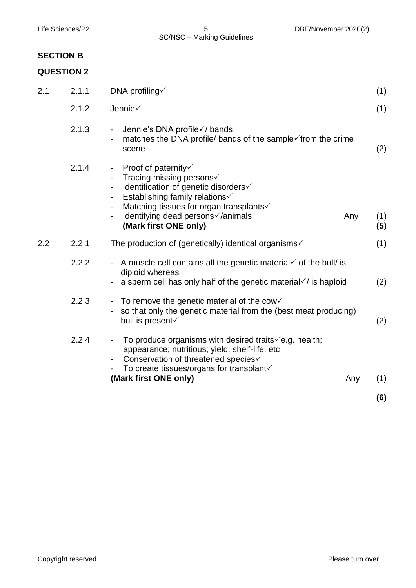# **SECTION B**

## **QUESTION 2**

| 2.1.1<br>DNA profiling√<br>2.1 |       |                                                                                                                                                                                                                                                                                  | (1) |            |
|--------------------------------|-------|----------------------------------------------------------------------------------------------------------------------------------------------------------------------------------------------------------------------------------------------------------------------------------|-----|------------|
|                                | 2.1.2 | Jennie√                                                                                                                                                                                                                                                                          |     | (1)        |
|                                | 2.1.3 | Jennie's DNA profile √/ bands<br>$\blacksquare$<br>matches the DNA profile/ bands of the sample√from the crime<br>scene                                                                                                                                                          |     | (2)        |
|                                | 2.1.4 | Proof of paternity√<br>$\blacksquare$<br>Tracing missing persons√<br>Identification of genetic disorders√<br>Establishing family relations√<br>$\overline{\phantom{a}}$<br>Matching tissues for organ transplants√<br>Identifying dead persons√/animals<br>(Mark first ONE only) | Any | (1)<br>(5) |
| 2.2                            | 2.2.1 | The production of (genetically) identical organisms $\checkmark$                                                                                                                                                                                                                 |     | (1)        |
|                                | 2.2.2 | A muscle cell contains all the genetic material $\checkmark$ of the bull/ is<br>diploid whereas<br>a sperm cell has only half of the genetic material $\sqrt{}$ is haploid                                                                                                       |     | (2)        |
|                                | 2.2.3 | To remove the genetic material of the cow $\checkmark$<br>÷<br>so that only the genetic material from the (best meat producing)<br>bull is present                                                                                                                               |     | (2)        |
|                                | 2.2.4 | To produce organisms with desired traits $\sqrt{e}$ .g. health;<br>appearance; nutritious; yield; shelf-life; etc<br>Conservation of threatened species√<br>To create tissues/organs for transplant√<br>(Mark first ONE only)                                                    | Any | (1)        |

**(6)**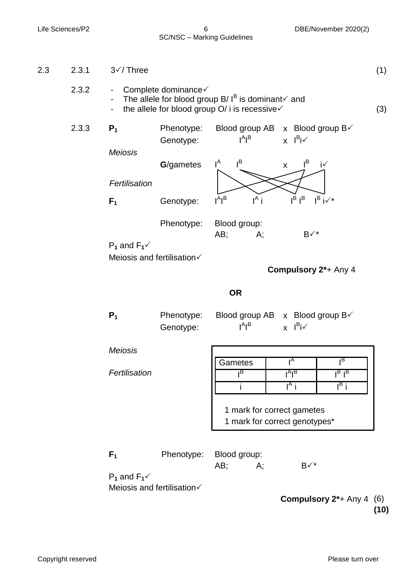SC/NSC – Marking Guidelines

2.3.3 **P1** Phenotype: Blood group AB x Blood group B√ Genotype: A I B x l<sup>B</sup>i√ *Meiosis* **G**/gametes  $I^A$ B  $x \quad I^B$ i√ *Fertilisation* **F<sub>1</sub>** Genotype: A I B **In the United States**  $I^A$  i  $i$  I<sup>B</sup>  $I^{\text{B}}$  I B  $i\checkmark^*$ Phenotype: Blood group: AB; A;  $B \checkmark^*$  $P_1$  and  $F_1 \checkmark$ Meiosis and fertilisation **Compulsory 2\***+ Any 4 **OR P**<sup>1</sup> Phenotype: Blood group AB x Blood group B√ Genotype: A I B <sub>x</sub> l<sup>B</sup>i√ *Meiosis* **Gametes**  $I^A$ I B I B  $I^A$ I $^B$  $I_B I_B$ i I  $\overline{I^A}$  i i I  $\overline{B}$  j 1 mark for correct gametes 1 mark for correct genotypes\* *Fertilisation* **F<sub>1</sub>** Phenotype: Blood group: AB; A;  $B\checkmark^*$  $P_1$  and  $F_1 \checkmark$ Meiosis and fertilisation  **Compulsory 2\***+ Any 4 (6) **(10)** 2.3 2.3.1 2.3.2  $3$  $\checkmark$  Three - Complete dominance - The allele for blood group B/I<sup>B</sup> is dominant and - the allele for blood group O/ i is recessive  $\checkmark$ (1) (3)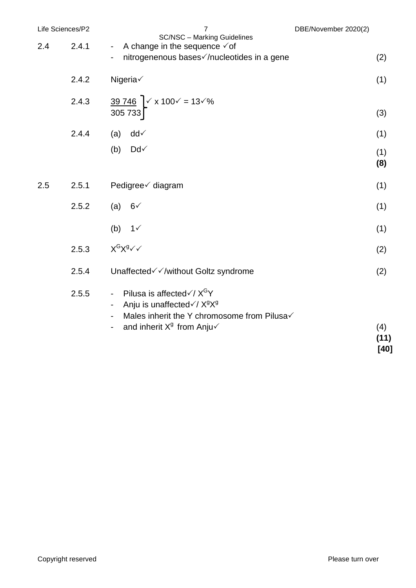| Life Sciences/P2 |       | 7<br>DBE/November 2020(2)<br><b>SC/NSC - Marking Guidelines</b>                                                                                                                                                                 |                     |
|------------------|-------|---------------------------------------------------------------------------------------------------------------------------------------------------------------------------------------------------------------------------------|---------------------|
| 2.4              | 2.4.1 | A change in the sequence $\checkmark$ of<br>$\blacksquare$<br>nitrogenenous bases√/nucleotides in a gene                                                                                                                        | (2)                 |
|                  | 2.4.2 | Nigeria√                                                                                                                                                                                                                        | (1)                 |
|                  | 2.4.3 | $\frac{39\,746}{1}$ $\times$ x 100 $\times$ = 13 $\times$ %<br>305 733                                                                                                                                                          | (3)                 |
|                  | 2.4.4 | $dd\checkmark$<br>(a)                                                                                                                                                                                                           | (1)                 |
|                  |       | Dd√<br>(b)                                                                                                                                                                                                                      | (1)<br>(8)          |
| 2.5              | 2.5.1 | Pedigree√ diagram                                                                                                                                                                                                               | (1)                 |
|                  | 2.5.2 | $6\sqrt{ }$<br>(a)                                                                                                                                                                                                              | (1)                 |
|                  |       | (b)<br>1 <sub>1</sub>                                                                                                                                                                                                           | (1)                 |
|                  | 2.5.3 | $X^G X^g \vee \vee$                                                                                                                                                                                                             | (2)                 |
|                  | 2.5.4 | Unaffected√√/without Goltz syndrome                                                                                                                                                                                             | (2)                 |
|                  | 2.5.5 | Pilusa is affected $\sqrt{X^G}Y$<br>$\overline{\phantom{a}}$<br>Anju is unaffected√/ X <sup>9</sup> X <sup>9</sup><br>Males inherit the Y chromosome from Pilusa√<br>and inherit $X^9$ from Anju $\checkmark$<br>$\blacksquare$ | (4)<br>(11)<br>[40] |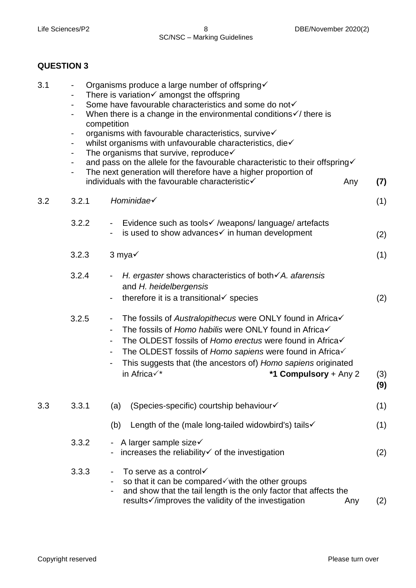## **QUESTION 3**

| 3.1 | Organisms produce a large number of offspring√<br>There is variation $\checkmark$ amongst the offspring<br>Some have favourable characteristics and some do not√<br>$\blacksquare$<br>When there is a change in the environmental conditions $\checkmark$ there is<br>competition<br>organisms with favourable characteristics, survive√<br>$\blacksquare$<br>whilst organisms with unfavourable characteristics, die√<br>$\blacksquare$<br>The organisms that survive, reproduce $\checkmark$<br>$\blacksquare$<br>and pass on the allele for the favourable characteristic to their offspring<br>۰<br>The next generation will therefore have a higher proportion of<br>۰<br>individuals with the favourable characteristic√<br>Any |                                                                                                                                                                                                                                                                                                                                                                                                  | (7)        |
|-----|---------------------------------------------------------------------------------------------------------------------------------------------------------------------------------------------------------------------------------------------------------------------------------------------------------------------------------------------------------------------------------------------------------------------------------------------------------------------------------------------------------------------------------------------------------------------------------------------------------------------------------------------------------------------------------------------------------------------------------------|--------------------------------------------------------------------------------------------------------------------------------------------------------------------------------------------------------------------------------------------------------------------------------------------------------------------------------------------------------------------------------------------------|------------|
| 3.2 | 3.2.1                                                                                                                                                                                                                                                                                                                                                                                                                                                                                                                                                                                                                                                                                                                                 | Hominidae√                                                                                                                                                                                                                                                                                                                                                                                       | (1)        |
|     | 3.2.2                                                                                                                                                                                                                                                                                                                                                                                                                                                                                                                                                                                                                                                                                                                                 | Evidence such as tools√ /weapons/language/ artefacts<br>$\blacksquare$<br>is used to show advances $\checkmark$ in human development                                                                                                                                                                                                                                                             | (2)        |
|     | 3.2.3                                                                                                                                                                                                                                                                                                                                                                                                                                                                                                                                                                                                                                                                                                                                 | $3$ mya $\checkmark$                                                                                                                                                                                                                                                                                                                                                                             | (1)        |
|     | 3.2.4                                                                                                                                                                                                                                                                                                                                                                                                                                                                                                                                                                                                                                                                                                                                 | H. ergaster shows characteristics of both $\checkmark$ A. afarensis<br>۰.<br>and H. heidelbergensis<br>therefore it is a transitional $\checkmark$ species                                                                                                                                                                                                                                       | (2)        |
|     | 3.2.5                                                                                                                                                                                                                                                                                                                                                                                                                                                                                                                                                                                                                                                                                                                                 | The fossils of Australopithecus were ONLY found in Africa√<br>۰<br>The fossils of Homo habilis were ONLY found in Africa√<br>-<br>The OLDEST fossils of Homo erectus were found in Africa√<br>$\overline{\phantom{0}}$<br>The OLDEST fossils of Homo sapiens were found in Africa√<br>-<br>This suggests that (the ancestors of) Homo sapiens originated<br>in Africa√*<br>*1 Compulsory + Any 2 | (3)<br>(9) |
| 3.3 | 3.3.1                                                                                                                                                                                                                                                                                                                                                                                                                                                                                                                                                                                                                                                                                                                                 | (Species-specific) courtship behaviour√<br>(a)                                                                                                                                                                                                                                                                                                                                                   | (1)        |
|     |                                                                                                                                                                                                                                                                                                                                                                                                                                                                                                                                                                                                                                                                                                                                       | Length of the (male long-tailed widowbird's) tails√<br>(b)                                                                                                                                                                                                                                                                                                                                       | (1)        |
|     | 3.3.2                                                                                                                                                                                                                                                                                                                                                                                                                                                                                                                                                                                                                                                                                                                                 | A larger sample size√<br>increases the reliability√ of the investigation                                                                                                                                                                                                                                                                                                                         | (2)        |
|     | 3.3.3                                                                                                                                                                                                                                                                                                                                                                                                                                                                                                                                                                                                                                                                                                                                 | To serve as a control√<br>so that it can be compared <i>v</i> with the other groups<br>and show that the tail length is the only factor that affects the<br>results√/improves the validity of the investigation<br>Any                                                                                                                                                                           | (2)        |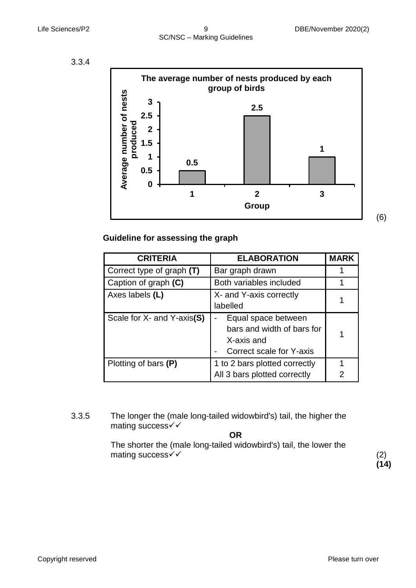



 **Guideline for assessing the graph**

| <b>CRITERIA</b>             | <b>ELABORATION</b>                                                                          | <b>MARK</b> |
|-----------------------------|---------------------------------------------------------------------------------------------|-------------|
| Correct type of graph $(T)$ | Bar graph drawn                                                                             |             |
| Caption of graph (C)        | Both variables included                                                                     |             |
| Axes labels (L)             | X- and Y-axis correctly<br>labelled                                                         |             |
| Scale for X- and Y-axis(S)  | Equal space between<br>bars and width of bars for<br>X-axis and<br>Correct scale for Y-axis |             |
| Plotting of bars (P)        | 1 to 2 bars plotted correctly                                                               |             |
|                             | All 3 bars plotted correctly                                                                |             |

3.3.5 The longer the (male long-tailed widowbird's) tail, the higher the mating success√√

#### **OR**

The shorter the (male long-tailed widowbird's) tail, the lower the mating success  $\checkmark$  (2)

**(14)**

(6)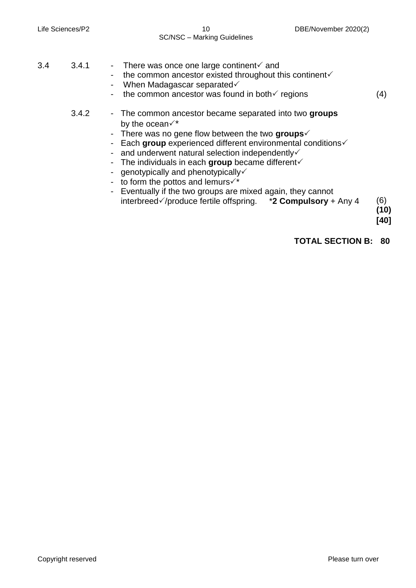#### Life Sciences/P2 10 10 DBE/November 2020(2) SC/NSC – Marking Guidelines

| 3.4 | 3.4.1 | There was once one large continent $\checkmark$ and<br>the common ancestor existed throughout this continent<br>$\blacksquare$<br>When Madagascar separated<br>the common ancestor was found in both $\checkmark$ regions                                                                                                                                                                                                                                                                                                                                                                                 | (4)                 |
|-----|-------|-----------------------------------------------------------------------------------------------------------------------------------------------------------------------------------------------------------------------------------------------------------------------------------------------------------------------------------------------------------------------------------------------------------------------------------------------------------------------------------------------------------------------------------------------------------------------------------------------------------|---------------------|
|     | 3.4.2 | - The common ancestor became separated into two groups<br>by the ocean $\checkmark^*$<br>- There was no gene flow between the two groups $\checkmark$<br>- Each group experienced different environmental conditions<br>- and underwent natural selection independently $\checkmark$<br>The individuals in each group became different $\checkmark$<br>genotypically and phenotypically $\checkmark$<br>- to form the pottos and lemurs $\checkmark^*$<br>- Eventually if the two groups are mixed again, they cannot<br>interbreed $\sqrt{}$ /produce fertile offspring. $*$ <b>2 Compulsory</b> + Any 4 | (6)<br>(10)<br>[40] |
|     |       | <b>TOTAL SECTION B:</b>                                                                                                                                                                                                                                                                                                                                                                                                                                                                                                                                                                                   | 80                  |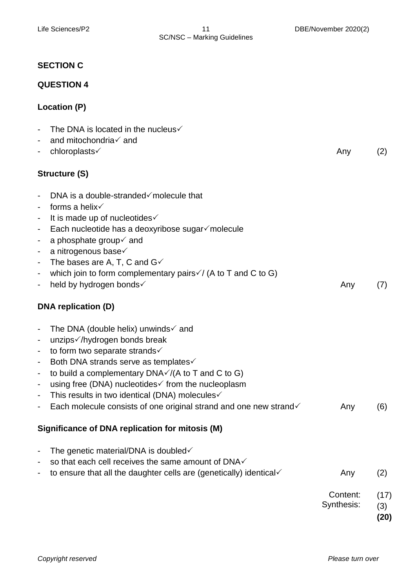## **SECTION C**

## **QUESTION 4**

# **Location (P)**

| $\blacksquare$                                 | The DNA is located in the nucleus $\checkmark$                                                                                  |                        |                     |
|------------------------------------------------|---------------------------------------------------------------------------------------------------------------------------------|------------------------|---------------------|
| $\blacksquare$                                 | and mitochondria√ and                                                                                                           |                        |                     |
|                                                | chloroplasts√                                                                                                                   | Any                    | (2)                 |
|                                                | Structure (S)                                                                                                                   |                        |                     |
| $\blacksquare$                                 | DNA is a double-stranded $\checkmark$ molecule that                                                                             |                        |                     |
|                                                | forms a helix $\checkmark$                                                                                                      |                        |                     |
| $\blacksquare$<br>$\blacksquare$               | It is made up of nucleotides√<br>Each nucleotide has a deoxyribose sugar√molecule                                               |                        |                     |
| $\blacksquare$                                 | a phosphate group $\checkmark$ and                                                                                              |                        |                     |
| $\blacksquare$                                 | a nitrogenous base√                                                                                                             |                        |                     |
| $\blacksquare$                                 | The bases are A, T, C and $G\checkmark$                                                                                         |                        |                     |
| $\blacksquare$                                 | which join to form complementary pairs√/ (A to T and C to G)                                                                    |                        |                     |
| $\overline{\phantom{a}}$                       | held by hydrogen bonds√                                                                                                         | Any                    | (7)                 |
|                                                | DNA replication (D)                                                                                                             |                        |                     |
| $\blacksquare$                                 | The DNA (double helix) unwinds $\checkmark$ and                                                                                 |                        |                     |
| $\blacksquare$                                 | unzips√/hydrogen bonds break                                                                                                    |                        |                     |
| $\blacksquare$                                 | to form two separate strands√                                                                                                   |                        |                     |
| $\blacksquare$                                 | Both DNA strands serve as templates√                                                                                            |                        |                     |
| $\blacksquare$                                 | to build a complementary $DNA\checkmark/(A$ to T and C to G)                                                                    |                        |                     |
| $\blacksquare$                                 | using free (DNA) nucleotides if from the nucleoplasm                                                                            |                        |                     |
| $\blacksquare$<br>$\qquad \qquad \blacksquare$ | This results in two identical (DNA) molecules√<br>Each molecule consists of one original strand and one new strand $\checkmark$ | Any                    | (6)                 |
|                                                |                                                                                                                                 |                        |                     |
|                                                | Significance of DNA replication for mitosis (M)                                                                                 |                        |                     |
|                                                | The genetic material/DNA is doubled $\checkmark$                                                                                |                        |                     |
|                                                | so that each cell receives the same amount of DNA $\checkmark$                                                                  |                        |                     |
|                                                | to ensure that all the daughter cells are (genetically) identical√                                                              | Any                    | (2)                 |
|                                                |                                                                                                                                 | Content:<br>Synthesis: | (17)<br>(3)<br>(20) |